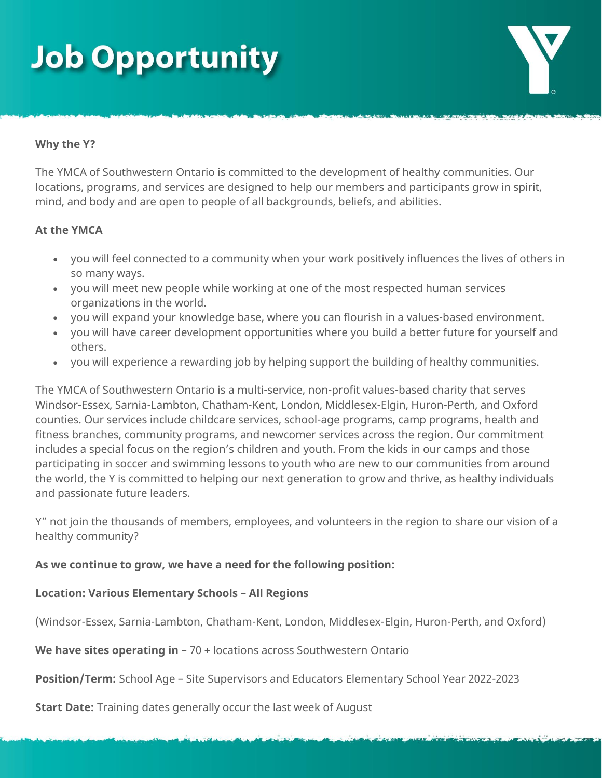## **Job Opportunity**

#### **Why the Y?**

The YMCA of Southwestern Ontario is committed to the development of healthy communities. Our locations, programs, and services are designed to help our members and participants grow in spirit, mind, and body and are open to people of all backgrounds, beliefs, and abilities.

#### **At the YMCA**

- you will feel connected to a community when your work positively influences the lives of others in so many ways.
- you will meet new people while working at one of the most respected human services organizations in the world.
- you will expand your knowledge base, where you can flourish in a values-based environment.
- you will have career development opportunities where you build a better future for yourself and others.
- you will experience a rewarding job by helping support the building of healthy communities.

The YMCA of Southwestern Ontario is a multi-service, non-profit values-based charity that serves Windsor-Essex, Sarnia-Lambton, Chatham-Kent, London, Middlesex-Elgin, Huron-Perth, and Oxford counties. Our services include childcare services, school-age programs, camp programs, health and fitness branches, community programs, and newcomer services across the region. Our commitment includes a special focus on the region's children and youth. From the kids in our camps and those participating in soccer and swimming lessons to youth who are new to our communities from around the world, the Y is committed to helping our next generation to grow and thrive, as healthy individuals and passionate future leaders.

Y" not join the thousands of members, employees, and volunteers in the region to share our vision of a healthy community?

### **As we continue to grow, we have a need for the following position:**

### **Location: Various Elementary Schools – All Regions**

(Windsor-Essex, Sarnia-Lambton, Chatham-Kent, London, Middlesex-Elgin, Huron-Perth, and Oxford)

#### **We have sites operating in** – 70 + locations across Southwestern Ontario

**Position/Term:** School Age – Site Supervisors and Educators Elementary School Year 2022-2023

**Start Date:** Training dates generally occur the last week of August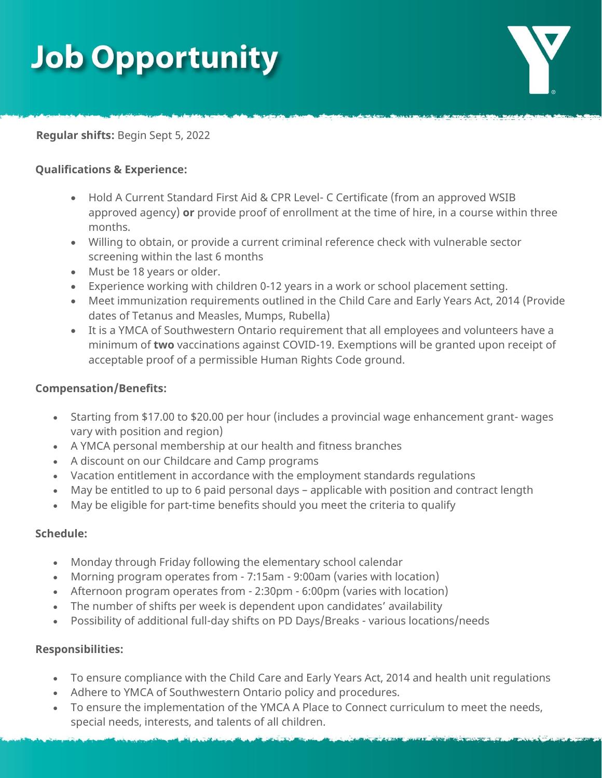# **Job Opportunity**



**Regular shifts:** Begin Sept 5, 2022

### **Qualifications & Experience:**

- Hold A Current Standard First Aid & CPR Level- C Certificate (from an approved WSIB approved agency) **or** provide proof of enrollment at the time of hire, in a course within three months.
- Willing to obtain, or provide a current criminal reference check with vulnerable sector screening within the last 6 months
- Must be 18 years or older.
- Experience working with children 0-12 years in a work or school placement setting.
- Meet immunization requirements outlined in the Child Care and Early Years Act, 2014 (Provide dates of Tetanus and Measles, Mumps, Rubella)
- It is a YMCA of Southwestern Ontario requirement that all employees and volunteers have a minimum of **two** vaccinations against COVID-19. Exemptions will be granted upon receipt of acceptable proof of a permissible Human Rights Code ground.

### **Compensation/Benefits:**

- Starting from \$17.00 to \$20.00 per hour (includes a provincial wage enhancement grant- wages vary with position and region)
- A YMCA personal membership at our health and fitness branches
- A discount on our Childcare and Camp programs
- Vacation entitlement in accordance with the employment standards regulations
- May be entitled to up to 6 paid personal days applicable with position and contract length
- May be eligible for part-time benefits should you meet the criteria to qualify

### **Schedule:**

- Monday through Friday following the elementary school calendar
- Morning program operates from 7:15am 9:00am (varies with location)
- Afternoon program operates from 2:30pm 6:00pm (varies with location)
- The number of shifts per week is dependent upon candidates' availability
- Possibility of additional full-day shifts on PD Days/Breaks various locations/needs

### **Responsibilities:**

- To ensure compliance with the Child Care and Early Years Act, 2014 and health unit regulations
- Adhere to YMCA of Southwestern Ontario policy and procedures.
- To ensure the implementation of the YMCA A Place to Connect curriculum to meet the needs, special needs, interests, and talents of all children.